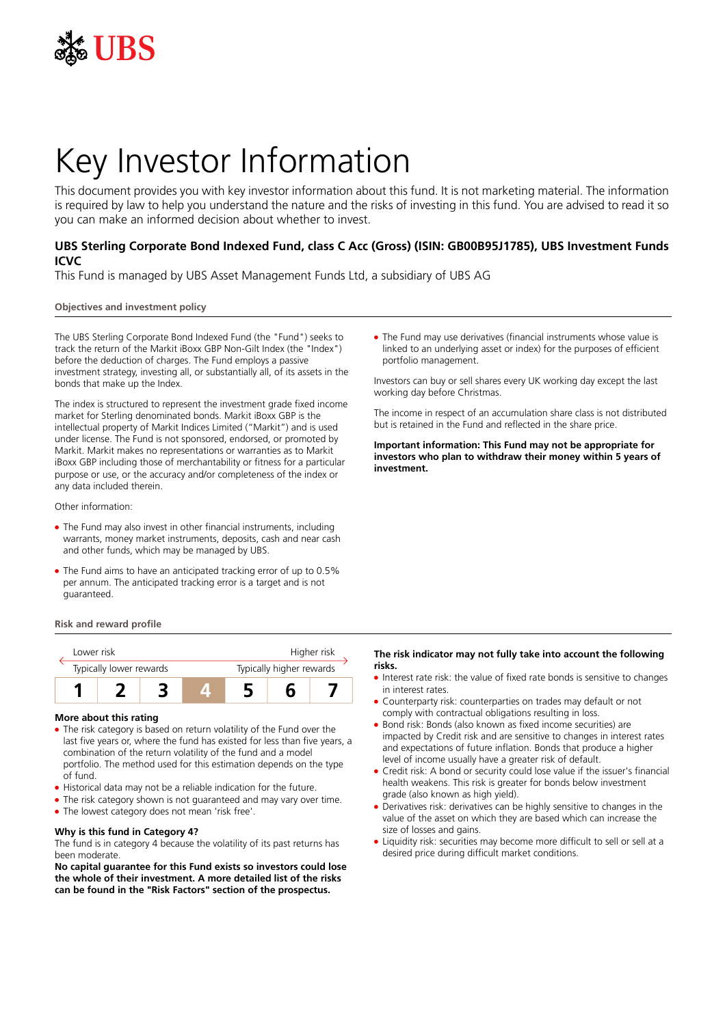

# Key Investor Information

This document provides you with key investor information about this fund. It is not marketing material. The information is required by law to help you understand the nature and the risks of investing in this fund. You are advised to read it so you can make an informed decision about whether to invest.

# **UBS Sterling Corporate Bond Indexed Fund, class C Acc (Gross) (ISIN: GB00B95J1785), UBS Investment Funds ICVC**

This Fund is managed by UBS Asset Management Funds Ltd, a subsidiary of UBS AG

# **Objectives and investment policy**

The UBS Sterling Corporate Bond Indexed Fund (the "Fund") seeks to track the return of the Markit iBoxx GBP Non-Gilt Index (the "Index") before the deduction of charges. The Fund employs a passive investment strategy, investing all, or substantially all, of its assets in the bonds that make up the Index.

The index is structured to represent the investment grade fixed income market for Sterling denominated bonds. Markit iBoxx GBP is the intellectual property of Markit Indices Limited ("Markit") and is used under license. The Fund is not sponsored, endorsed, or promoted by Markit. Markit makes no representations or warranties as to Markit iBoxx GBP including those of merchantability or fitness for a particular purpose or use, or the accuracy and/or completeness of the index or any data included therein.

Other information:

- The Fund may also invest in other financial instruments, including warrants, money market instruments, deposits, cash and near cash and other funds, which may be managed by UBS.
- The Fund aims to have an anticipated tracking error of up to 0.5% per annum. The anticipated tracking error is a target and is not guaranteed.

### **Risk and reward profile**



### **More about this rating**

- The risk category is based on return volatility of the Fund over the last five years or, where the fund has existed for less than five years, a combination of the return volatility of the fund and a model portfolio. The method used for this estimation depends on the type of fund.
- Historical data may not be a reliable indication for the future.
- The risk category shown is not guaranteed and may vary over time.
- The lowest category does not mean 'risk free'.

### **Why is this fund in Category 4?**

The fund is in category 4 because the volatility of its past returns has been moderate.

**No capital guarantee for this Fund exists so investors could lose the whole of their investment. A more detailed list of the risks can be found in the "Risk Factors" section of the prospectus.**

• The Fund may use derivatives (financial instruments whose value is linked to an underlying asset or index) for the purposes of efficient portfolio management.

Investors can buy or sell shares every UK working day except the last working day before Christmas.

The income in respect of an accumulation share class is not distributed but is retained in the Fund and reflected in the share price.

**Important information: This Fund may not be appropriate for investors who plan to withdraw their money within 5 years of investment.**

## **The risk indicator may not fully take into account the following risks.**

- Interest rate risk: the value of fixed rate bonds is sensitive to changes in interest rates
- Counterparty risk: counterparties on trades may default or not comply with contractual obligations resulting in loss.
- Bond risk: Bonds (also known as fixed income securities) are impacted by Credit risk and are sensitive to changes in interest rates and expectations of future inflation. Bonds that produce a higher level of income usually have a greater risk of default.
- Credit risk: A bond or security could lose value if the issuer's financial health weakens. This risk is greater for bonds below investment grade (also known as high yield).
- Derivatives risk: derivatives can be highly sensitive to changes in the value of the asset on which they are based which can increase the size of losses and gains.
- Liquidity risk: securities may become more difficult to sell or sell at a desired price during difficult market conditions.